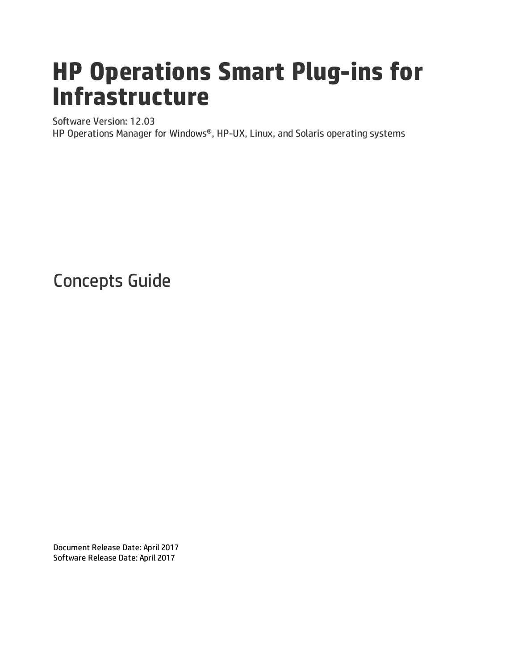# **HP Operations Smart Plug-ins for Infrastructure**

Software Version: 12.03

HP Operations Manager for Windows®, HP-UX, Linux, and Solaris operating systems

Concepts Guide

Document Release Date: April 2017 Software Release Date: April 2017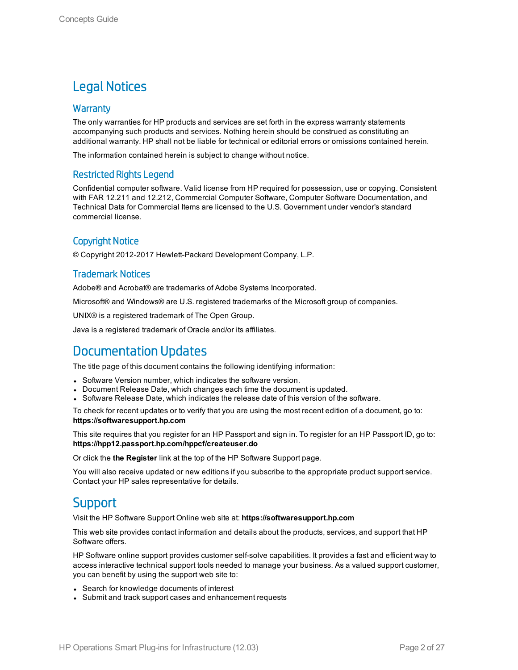### Legal Notices

### **Warranty**

The only warranties for HP products and services are set forth in the express warranty statements accompanying such products and services. Nothing herein should be construed as constituting an additional warranty. HP shall not be liable for technical or editorial errors or omissions contained herein.

The information contained herein is subject to change without notice.

### Restricted Rights Legend

Confidential computer software. Valid license from HP required for possession, use or copying. Consistent with FAR 12.211 and 12.212, Commercial Computer Software, Computer Software Documentation, and Technical Data for Commercial Items are licensed to the U.S. Government under vendor's standard commercial license.

### Copyright Notice

© Copyright 2012-2017 Hewlett-Packard Development Company, L.P.

### Trademark Notices

Adobe® and Acrobat® are trademarks of Adobe Systems Incorporated.

Microsoft® and Windows® are U.S. registered trademarks of the Microsoft group of companies.

UNIX® is a registered trademark of The Open Group.

Java is a registered trademark of Oracle and/or its affiliates.

### Documentation Updates

The title page of this document contains the following identifying information:

- Software Version number, which indicates the software version.
- Document Release Date, which changes each time the document is updated.
- <sup>l</sup> Software Release Date, which indicates the release date of this version of the software.

To check for recent updates or to verify that you are using the most recent edition of a document, go to: **https://softwaresupport.hp.com**

This site requires that you register for an HP Passport and sign in. To register for an HP Passport ID, go to: **https://hpp12.passport.hp.com/hppcf/createuser.do**

Or click the **the Register** link at the top of the HP Software Support page.

You will also receive updated or new editions if you subscribe to the appropriate product support service. Contact your HP sales representative for details.

### **Support**

Visit the HP Software Support Online web site at: **https://softwaresupport.hp.com**

This web site provides contact information and details about the products, services, and support that HP Software offers.

HP Software online support provides customer self-solve capabilities. It provides a fast and efficient way to access interactive technical support tools needed to manage your business. As a valued support customer, you can benefit by using the support web site to:

- Search for knowledge documents of interest
- Submit and track support cases and enhancement requests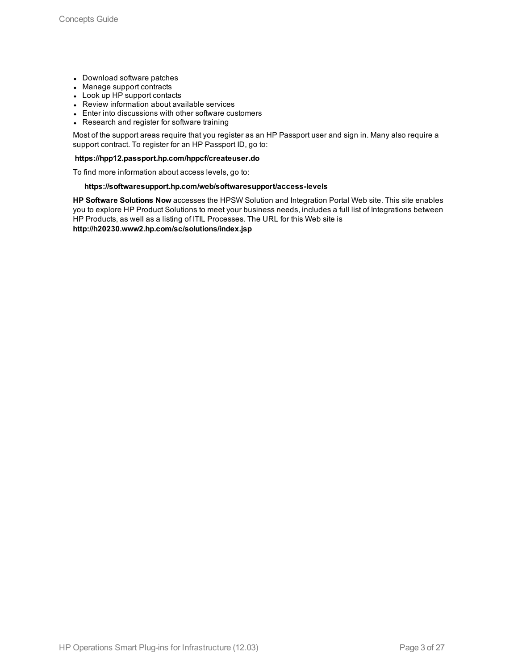- Download software patches
- Manage support contracts
- Look up HP support contacts
- Review information about available services
- Enter into discussions with other software customers
- Research and register for software training

Most of the support areas require that you register as an HP Passport user and sign in. Many also require a support contract. To register for an HP Passport ID, go to:

#### **https://hpp12.passport.hp.com/hppcf/createuser.do**

To find more information about access levels, go to:

#### **https://softwaresupport.hp.com/web/softwaresupport/access-levels**

**HP Software Solutions Now** accesses the HPSW Solution and Integration Portal Web site. This site enables you to explore HP Product Solutions to meet your business needs, includes a full list of Integrations between HP Products, as well as a listing of ITIL Processes. The URL for this Web site is **http://h20230.www2.hp.com/sc/solutions/index.jsp**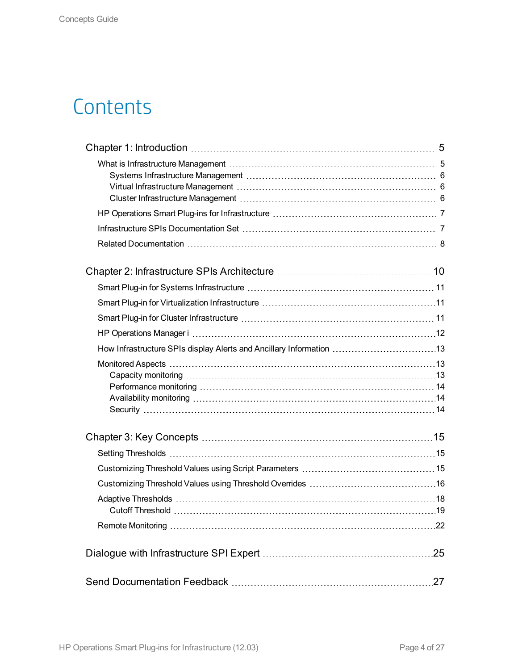## **Contents**

| How Infrastructure SPIs display Alerts and Ancillary Information 13 |     |
|---------------------------------------------------------------------|-----|
|                                                                     |     |
|                                                                     |     |
|                                                                     |     |
|                                                                     |     |
|                                                                     |     |
|                                                                     |     |
|                                                                     |     |
|                                                                     |     |
|                                                                     |     |
|                                                                     |     |
|                                                                     |     |
|                                                                     | .27 |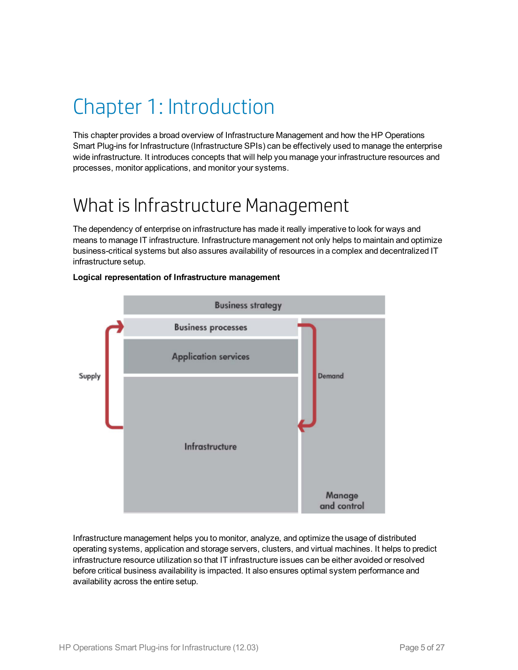## <span id="page-4-0"></span>Chapter 1: Introduction

This chapter provides a broad overview of Infrastructure Management and how the HP Operations Smart Plug-ins for Infrastructure (Infrastructure SPIs) can be effectively used to manage the enterprise wide infrastructure. It introduces concepts that will help you manage your infrastructure resources and processes, monitor applications, and monitor your systems.

## <span id="page-4-1"></span>What is Infrastructure Management

The dependency of enterprise on infrastructure has made it really imperative to look for ways and means to manage IT infrastructure. Infrastructure management not only helps to maintain and optimize business-critical systems but also assures availability of resources in a complex and decentralized IT infrastructure setup.



### **Logical representation of Infrastructure management**

Infrastructure management helps you to monitor, analyze, and optimize the usage of distributed operating systems, application and storage servers, clusters, and virtual machines. It helps to predict infrastructure resource utilization so that IT infrastructure issues can be either avoided or resolved before critical business availability is impacted. It also ensures optimal system performance and availability across the entire setup.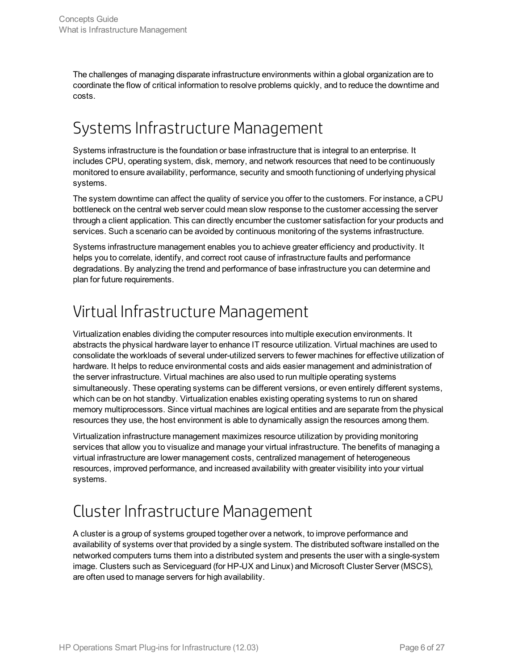The challenges of managing disparate infrastructure environments within a global organization are to coordinate the flow of critical information to resolve problems quickly, and to reduce the downtime and costs.

### <span id="page-5-0"></span>Systems Infrastructure Management

Systems infrastructure is the foundation or base infrastructure that is integral to an enterprise. It includes CPU, operating system, disk, memory, and network resources that need to be continuously monitored to ensure availability, performance, security and smooth functioning of underlying physical systems.

The system downtime can affect the quality of service you offer to the customers. For instance, a CPU bottleneck on the central web server could mean slow response to the customer accessing the server through a client application. This can directly encumber the customer satisfaction for your products and services. Such a scenario can be avoided by continuous monitoring of the systems infrastructure.

Systems infrastructure management enables you to achieve greater efficiency and productivity. It helps you to correlate, identify, and correct root cause of infrastructure faults and performance degradations. By analyzing the trend and performance of base infrastructure you can determine and plan for future requirements.

### <span id="page-5-1"></span>Virtual Infrastructure Management

Virtualization enables dividing the computer resources into multiple execution environments. It abstracts the physical hardware layer to enhance IT resource utilization. Virtual machines are used to consolidate the workloads of several under-utilized servers to fewer machines for effective utilization of hardware. It helps to reduce environmental costs and aids easier management and administration of the server infrastructure. Virtual machines are also used to run multiple operating systems simultaneously. These operating systems can be different versions, or even entirely different systems, which can be on hot standby. Virtualization enables existing operating systems to run on shared memory multiprocessors. Since virtual machines are logical entities and are separate from the physical resources they use, the host environment is able to dynamically assign the resources among them.

Virtualization infrastructure management maximizes resource utilization by providing monitoring services that allow you to visualize and manage your virtual infrastructure. The benefits of managing a virtual infrastructure are lower management costs, centralized management of heterogeneous resources, improved performance, and increased availability with greater visibility into your virtual systems.

### <span id="page-5-2"></span>Cluster Infrastructure Management

A cluster is a group of systems grouped together over a network, to improve performance and availability of systems over that provided by a single system. The distributed software installed on the networked computers turns them into a distributed system and presents the user with a single-system image. Clusters such as Serviceguard (for HP-UX and Linux) and Microsoft Cluster Server (MSCS), are often used to manage servers for high availability.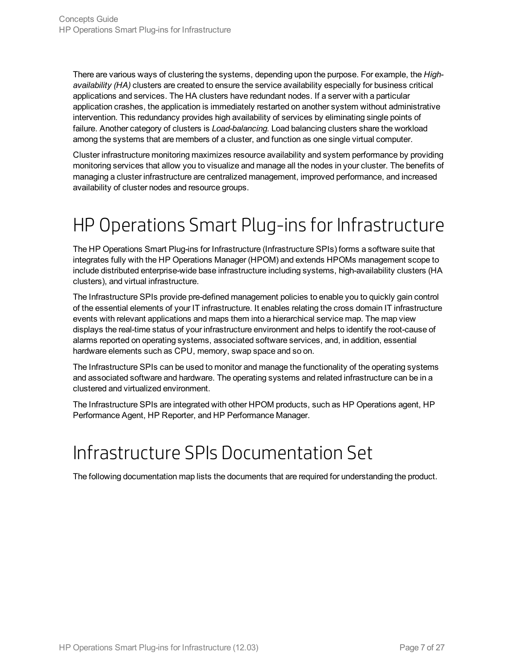There are various ways of clustering the systems, depending upon the purpose. For example, the *Highavailability (HA)* clusters are created to ensure the service availability especially for business critical applications and services. The HA clusters have redundant nodes. If a server with a particular application crashes, the application is immediately restarted on another system without administrative intervention. This redundancy provides high availability of services by eliminating single points of failure. Another category of clusters is *Load-balancing.* Load balancing clusters share the workload among the systems that are members of a cluster, and function as one single virtual computer.

Cluster infrastructure monitoring maximizes resource availability and system performance by providing monitoring services that allow you to visualize and manage all the nodes in your cluster. The benefits of managing a cluster infrastructure are centralized management, improved performance, and increased availability of cluster nodes and resource groups.

## <span id="page-6-0"></span>HP Operations Smart Plug-ins for Infrastructure

The HP Operations Smart Plug-ins for Infrastructure (Infrastructure SPIs) forms a software suite that integrates fully with the HP Operations Manager (HPOM) and extends HPOMs management scope to include distributed enterprise-wide base infrastructure including systems, high-availability clusters (HA clusters), and virtual infrastructure.

The Infrastructure SPIs provide pre-defined management policies to enable you to quickly gain control of the essential elements of your IT infrastructure. It enables relating the cross domain IT infrastructure events with relevant applications and maps them into a hierarchical service map. The map view displays the real-time status of your infrastructure environment and helps to identify the root-cause of alarms reported on operating systems, associated software services, and, in addition, essential hardware elements such as CPU, memory, swap space and so on.

The Infrastructure SPIs can be used to monitor and manage the functionality of the operating systems and associated software and hardware. The operating systems and related infrastructure can be in a clustered and virtualized environment.

<span id="page-6-1"></span>The Infrastructure SPIs are integrated with other HPOM products, such as HP Operations agent, HP Performance Agent, HP Reporter, and HP Performance Manager.

## Infrastructure SPIs Documentation Set

The following documentation map lists the documents that are required for understanding the product.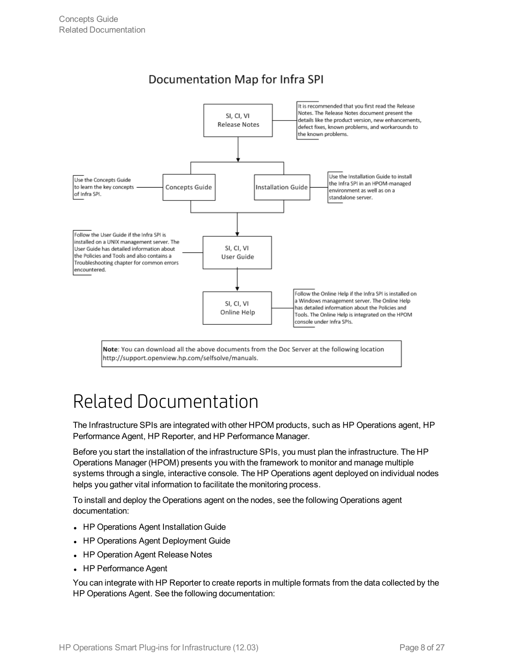

### Documentation Map for Infra SPI

Note: You can download all the above documents from the Doc Server at the following location http://support.openview.hp.com/selfsolve/manuals.

## <span id="page-7-0"></span>Related Documentation

The Infrastructure SPIs are integrated with other HPOM products, such as HP Operations agent, HP Performance Agent, HP Reporter, and HP Performance Manager.

Before you start the installation of the infrastructure SPIs, you must plan the infrastructure. The HP Operations Manager (HPOM) presents you with the framework to monitor and manage multiple systems through a single, interactive console. The HP Operations agent deployed on individual nodes helps you gather vital information to facilitate the monitoring process.

To install and deploy the Operations agent on the nodes, see the following Operations agent documentation:

- HP Operations Agent Installation Guide
- HP Operations Agent Deployment Guide
- HP Operation Agent Release Notes
- HP Performance Agent

You can integrate with HP Reporter to create reports in multiple formats from the data collected by the HP Operations Agent. See the following documentation: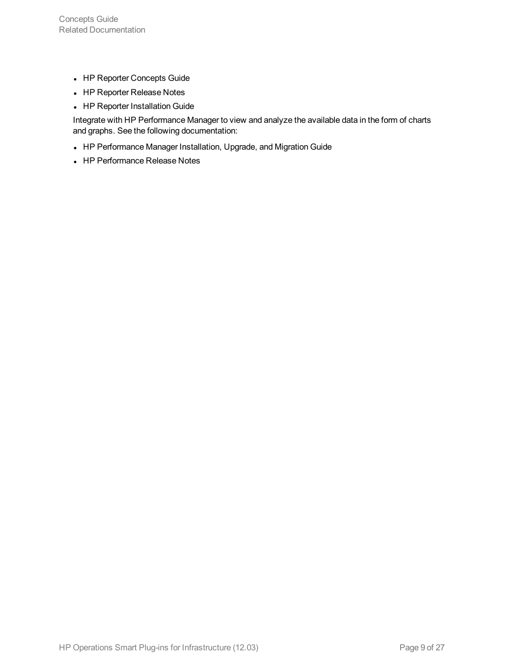- HP Reporter Concepts Guide
- HP Reporter Release Notes
- HP Reporter Installation Guide

Integrate with HP Performance Manager to view and analyze the available data in the form of charts and graphs. See the following documentation:

- HP Performance Manager Installation, Upgrade, and Migration Guide
- HP Performance Release Notes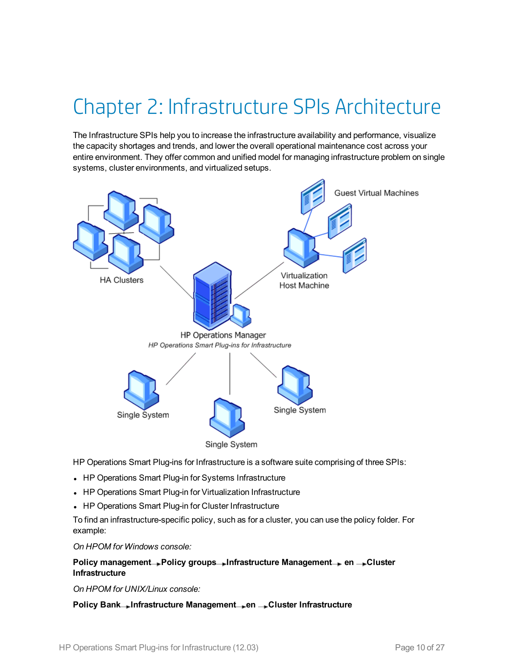## <span id="page-9-0"></span>Chapter 2: Infrastructure SPIs Architecture

The Infrastructure SPIs help you to increase the infrastructure availability and performance, visualize the capacity shortages and trends, and lower the overall operational maintenance cost across your entire environment. They offer common and unified model for managing infrastructure problem on single systems, cluster environments, and virtualized setups.



HP Operations Smart Plug-ins for Infrastructure is a software suite comprising of three SPIs:

- HP Operations Smart Plug-in for Systems Infrastructure
- HP Operations Smart Plug-in for Virtualization Infrastructure
- HP Operations Smart Plug-in for Cluster Infrastructure

To find an infrastructure-specific policy, such as for a cluster, you can use the policy folder. For example:

*On HPOM for Windows console:*

### **Policy management Policy groups Infrastructure Management en Cluster Infrastructure**

*On HPOM for UNIX/Linux console:*

**Policy Bank Infrastructure Management en Cluster Infrastructure**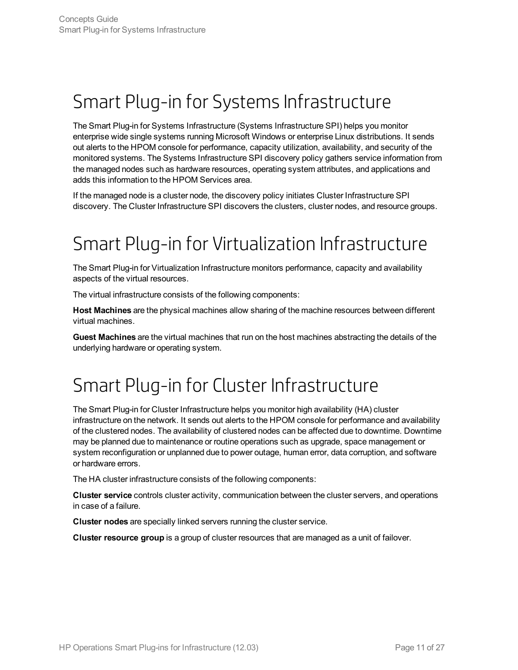## <span id="page-10-0"></span>Smart Plug-in for Systems Infrastructure

The Smart Plug-in for Systems Infrastructure (Systems Infrastructure SPI) helps you monitor enterprise wide single systems running Microsoft Windows or enterprise Linux distributions. It sends out alerts to the HPOM console for performance, capacity utilization, availability, and security of the monitored systems. The Systems Infrastructure SPI discovery policy gathers service information from the managed nodes such as hardware resources, operating system attributes, and applications and adds this information to the HPOM Services area.

<span id="page-10-1"></span>If the managed node is a cluster node, the discovery policy initiates Cluster Infrastructure SPI discovery. The Cluster Infrastructure SPI discovers the clusters, cluster nodes, and resource groups.

## Smart Plug-in for Virtualization Infrastructure

The Smart Plug-in for Virtualization Infrastructure monitors performance, capacity and availability aspects of the virtual resources.

The virtual infrastructure consists of the following components:

**Host Machines** are the physical machines allow sharing of the machine resources between different virtual machines.

<span id="page-10-2"></span>**Guest Machines** are the virtual machines that run on the host machines abstracting the details of the underlying hardware or operating system.

## Smart Plug-in for Cluster Infrastructure

The Smart Plug-in for Cluster Infrastructure helps you monitor high availability (HA) cluster infrastructure on the network. It sends out alerts to the HPOM console for performance and availability of the clustered nodes. The availability of clustered nodes can be affected due to downtime. Downtime may be planned due to maintenance or routine operations such as upgrade, space management or system reconfiguration or unplanned due to power outage, human error, data corruption, and software or hardware errors.

The HA cluster infrastructure consists of the following components:

**Cluster service** controls cluster activity, communication between the cluster servers, and operations in case of a failure.

**Cluster nodes** are specially linked servers running the cluster service.

**Cluster resource group** is a group of cluster resources that are managed as a unit of failover.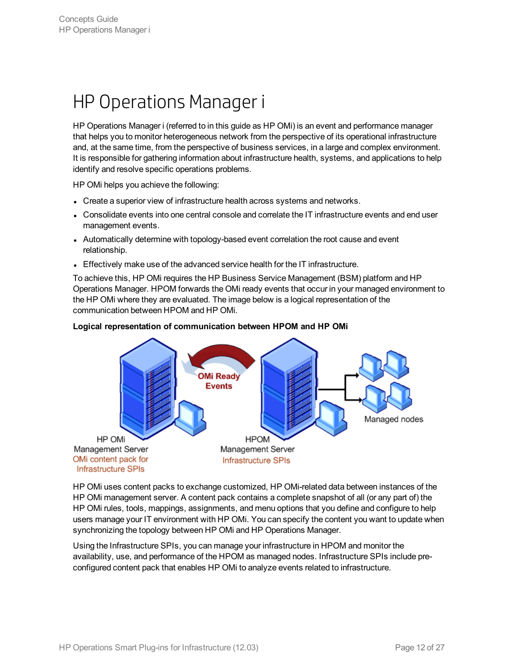## <span id="page-11-0"></span>HP Operations Manager i

HP Operations Manager i (referred to in this guide as HP OMi) is an event and performance manager that helps you to monitor heterogeneous network from the perspective of its operational infrastructure and, at the same time, from the perspective of business services, in a large and complex environment. It is responsible for gathering information about infrastructure health, systems, and applications to help identify and resolve specific operations problems.

HP OMi helps you achieve the following:

HP OMi

Management Server

OMi content pack for

**Infrastructure SPIs** 

- Create a superior view of infrastructure health across systems and networks.
- Consolidate events into one central console and correlate the IT infrastructure events and end user management events.
- Automatically determine with topology-based event correlation the root cause and event relationship.
- Effectively make use of the advanced service health for the IT infrastructure.

To achieve this, HP OMi requires the HP Business Service Management (BSM) platform and HP Operations Manager. HPOM forwards the OMi ready events that occur in your managed environment to the HP OMi where they are evaluated. The image below is a logical representation of the communication between HPOM and HP OMi.

# **OMi Ready Events** Managed nodes

#### **Logical representation of communication between HPOM and HP OMi**

HP OMi uses content packs to exchange customized, HP OMi-related data between instances of the HP OMi management server. A content pack contains a complete snapshot of all (or any part of) the HP OMi rules, tools, mappings, assignments, and menu options that you define and configure to help users manage your IT environment with HP OMi. You can specify the content you want to update when synchronizing the topology between HP OMi and HP Operations Manager.

**HPOM** 

Management Server

**Infrastructure SPIs** 

Using the Infrastructure SPIs, you can manage your infrastructure in HPOM and monitor the availability, use, and performance of the HPOM as managed nodes. Infrastructure SPIs include preconfigured content pack that enables HP OMi to analyze events related to infrastructure.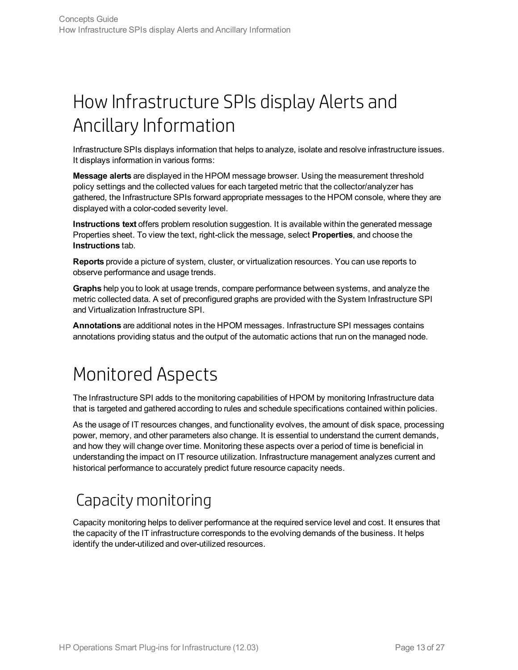## <span id="page-12-0"></span>How Infrastructure SPIs display Alerts and Ancillary Information

Infrastructure SPIs displays information that helps to analyze, isolate and resolve infrastructure issues. It displays information in various forms:

**Message alerts** are displayed in the HPOM message browser. Using the measurement threshold policy settings and the collected values for each targeted metric that the collector/analyzer has gathered, the Infrastructure SPIs forward appropriate messages to the HPOM console, where they are displayed with a color-coded severity level.

**Instructions text** offers problem resolution suggestion. It is available within the generated message Properties sheet. To view the text, right-click the message, select **Properties**, and choose the **Instructions** tab.

**Reports** provide a picture of system, cluster, or virtualization resources. You can use reports to observe performance and usage trends.

**Graphs** help you to look at usage trends, compare performance between systems, and analyze the metric collected data. A set of preconfigured graphs are provided with the System Infrastructure SPI and Virtualization Infrastructure SPI.

<span id="page-12-1"></span>**Annotations** are additional notes in the HPOM messages. Infrastructure SPI messages contains annotations providing status and the output of the automatic actions that run on the managed node.

## Monitored Aspects

The Infrastructure SPI adds to the monitoring capabilities of HPOM by monitoring Infrastructure data that is targeted and gathered according to rules and schedule specifications contained within policies.

As the usage of IT resources changes, and functionality evolves, the amount of disk space, processing power, memory, and other parameters also change. It is essential to understand the current demands, and how they will change over time. Monitoring these aspects over a period of time is beneficial in understanding the impact on IT resource utilization. Infrastructure management analyzes current and historical performance to accurately predict future resource capacity needs.

### <span id="page-12-2"></span>Capacity monitoring

Capacity monitoring helps to deliver performance at the required service level and cost. It ensures that the capacity of the IT infrastructure corresponds to the evolving demands of the business. It helps identify the under-utilized and over-utilized resources.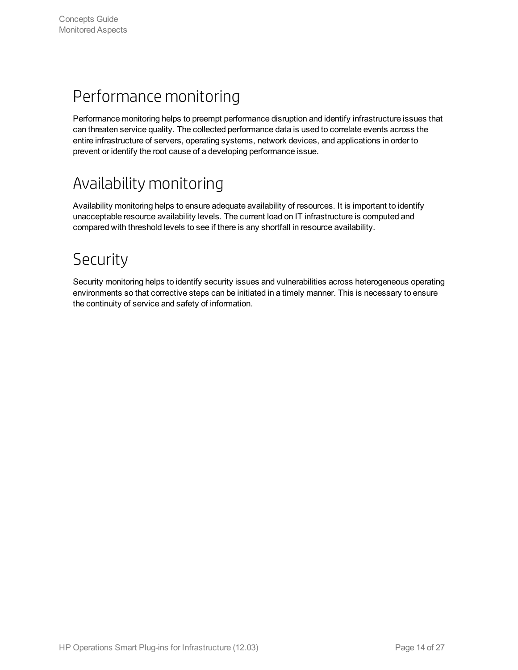### <span id="page-13-0"></span>Performance monitoring

Performance monitoring helps to preempt performance disruption and identify infrastructure issues that can threaten service quality. The collected performance data is used to correlate events across the entire infrastructure of servers, operating systems, network devices, and applications in order to prevent or identify the root cause of a developing performance issue.

### <span id="page-13-1"></span>Availability monitoring

Availability monitoring helps to ensure adequate availability of resources. It is important to identify unacceptable resource availability levels. The current load on IT infrastructure is computed and compared with threshold levels to see if there is any shortfall in resource availability.

### <span id="page-13-2"></span>Security

Security monitoring helps to identify security issues and vulnerabilities across heterogeneous operating environments so that corrective steps can be initiated in a timely manner. This is necessary to ensure the continuity of service and safety of information.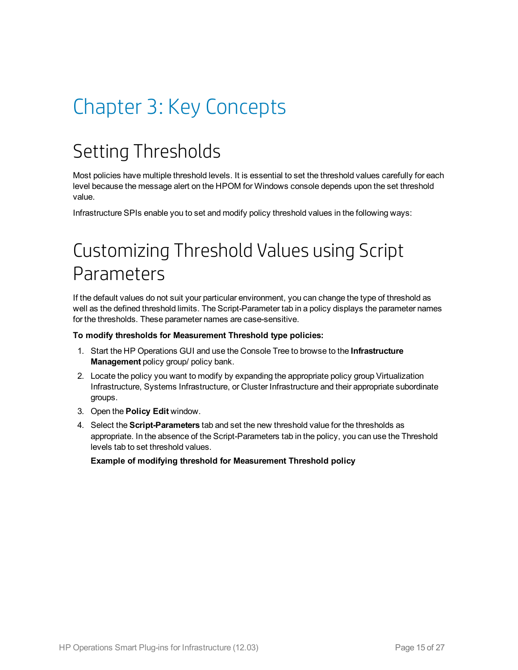# <span id="page-14-1"></span><span id="page-14-0"></span>Chapter 3: Key Concepts

## Setting Thresholds

Most policies have multiple threshold levels. It is essential to set the threshold values carefully for each level because the message alert on the HPOM for Windows console depends upon the set threshold value.

<span id="page-14-2"></span>Infrastructure SPIs enable you to set and modify policy threshold values in the following ways:

## Customizing Threshold Values using Script Parameters

If the default values do not suit your particular environment, you can change the type of threshold as well as the defined threshold limits. The Script-Parameter tab in a policy displays the parameter names for the thresholds. These parameter names are case-sensitive.

#### **To modify thresholds for Measurement Threshold type policies:**

- 1. Start the HP Operations GUI and use the Console Tree to browse to the **Infrastructure Management** policy group/ policy bank.
- 2. Locate the policy you want to modify by expanding the appropriate policy group Virtualization Infrastructure, Systems Infrastructure, or Cluster Infrastructure and their appropriate subordinate groups.
- 3. Open the **Policy Edit** window.
- 4. Select the **Script-Parameters** tab and set the new threshold value for the thresholds as appropriate. In the absence of the Script-Parameters tab in the policy, you can use the Threshold levels tab to set threshold values.

**Example of modifying threshold for Measurement Threshold policy**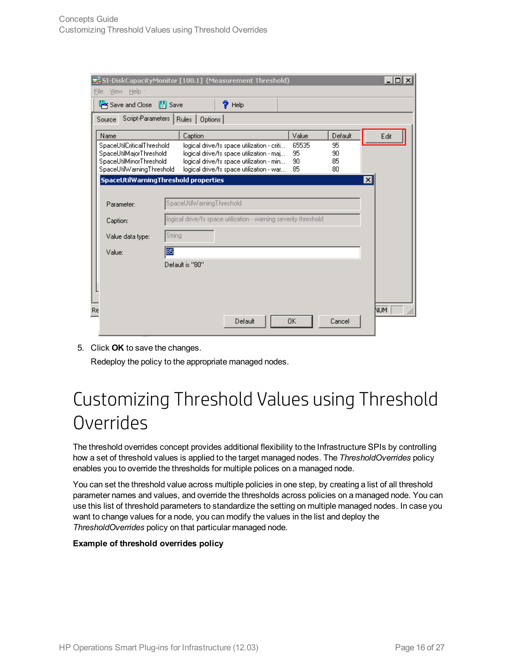|      |                                                                                                               |                                     | SI-DiskCapacityMonitor [100.1] (Measurement Threshold)                                                                                                                         |                         |                      | $\overline{\mathbf{L}^{\mathbb{C}}$ |
|------|---------------------------------------------------------------------------------------------------------------|-------------------------------------|--------------------------------------------------------------------------------------------------------------------------------------------------------------------------------|-------------------------|----------------------|-------------------------------------|
| File | View Help -                                                                                                   |                                     |                                                                                                                                                                                |                         |                      |                                     |
|      | Save and Close [4] Save                                                                                       |                                     | ?<br>Help                                                                                                                                                                      |                         |                      |                                     |
|      | Source                                                                                                        | Script-Parameters   Rules   Options |                                                                                                                                                                                |                         |                      |                                     |
|      | Name                                                                                                          | Caption                             |                                                                                                                                                                                | Value                   | Default              | Edit                                |
|      | SpaceUtilCriticalThreshold<br>SpaceUtilMajorThreshold<br>SpaceUtilMinorThreshold<br>SpaceUtilWarningThreshold |                                     | logical drive/fs space utilization - criti<br>logical drive/fs space utilization - maj<br>logical drive/fs space utilization - min<br>logical drive/fs space utilization - war | 65535<br>95<br>90<br>85 | 95<br>90<br>85<br>80 |                                     |
|      | SpaceUtilWarningThreshold properties                                                                          |                                     |                                                                                                                                                                                |                         |                      | ⊠                                   |
|      | Parameter:                                                                                                    | SpaceUtilWarningThreshold           |                                                                                                                                                                                |                         |                      |                                     |
|      | logical drive/fs space utilization - warning severity threshold<br>Caption:                                   |                                     |                                                                                                                                                                                |                         |                      |                                     |
|      | Value data type:                                                                                              | String                              |                                                                                                                                                                                |                         |                      |                                     |
|      | Value:                                                                                                        | 85                                  |                                                                                                                                                                                |                         |                      |                                     |
|      |                                                                                                               | Default is "80"                     |                                                                                                                                                                                |                         |                      |                                     |
| Re   |                                                                                                               |                                     | Default                                                                                                                                                                        | 0K                      | Cancel               | NUM.                                |

5. Click **OK** to save the changes.

<span id="page-15-0"></span>Redeploy the policy to the appropriate managed nodes.

## Customizing Threshold Values using Threshold **Overrides**

The threshold overrides concept provides additional flexibility to the Infrastructure SPIs by controlling how a set of threshold values is applied to the target managed nodes. The *ThresholdOverrides* policy enables you to override the thresholds for multiple polices on a managed node.

You can set the threshold value across multiple policies in one step, by creating a list of all threshold parameter names and values, and override the thresholds across policies on a managed node. You can use this list of threshold parameters to standardize the setting on multiple managed nodes. In case you want to change values for a node, you can modify the values in the list and deploy the *ThresholdOverrides* policy on that particular managed node.

#### **Example of threshold overrides policy**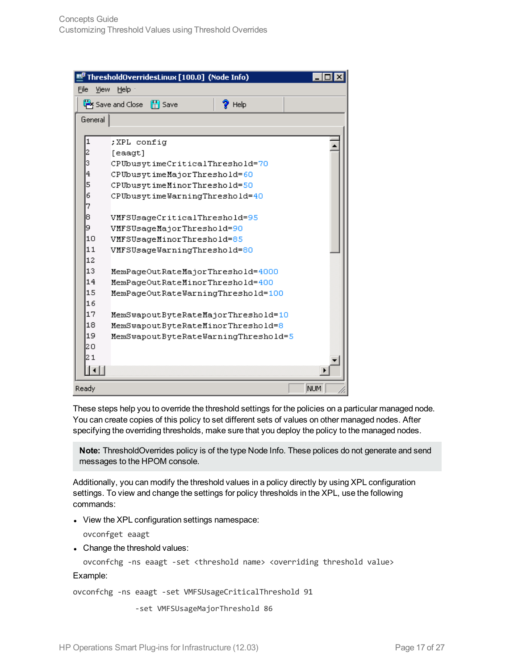| E,   |         | ThresholdOverridesLinux [100.0] (Node Info)      |      |
|------|---------|--------------------------------------------------|------|
| File | View    | Help $\cdot$                                     |      |
|      |         | Save and Close<br><b>圖</b> Save<br>$\gamma$ Help |      |
|      | General |                                                  |      |
|      |         |                                                  |      |
|      | 1       | ;XPL config                                      |      |
|      | 2       | [eaaqt]                                          |      |
|      | 3       | CPUbusytimeCriticalThreshold=70                  |      |
|      | 4       | CPUbusytimeMajorThreshold=60                     |      |
|      | 5       | CPUbusytimeMinorThreshold=50                     |      |
|      | 6       | CPUbusytimeWarningThreshold=40                   |      |
|      | 7       |                                                  |      |
|      | 8       | VMFSUsageCriticalThreshold=95                    |      |
|      | 9       | VMFSUsageMajorThreshold=90                       |      |
|      | 10      | VMFSUsageMinorThreshold=85                       |      |
|      | 11      | VMFSUsageWarningThreshold=80                     |      |
|      | 12      |                                                  |      |
|      | 13      | MemPageOutRateMajorThreshold=4000                |      |
|      | 14      | MemPageOutRateMinorThreshold=400                 |      |
|      | 15      | MemPageOutRateWarningThreshold=100               |      |
|      | 16      |                                                  |      |
|      | 17      | MemSwapoutByteRateMajorThreshold=10              |      |
|      | 18      | MemSwapoutByteRateMinorThreshold=8               |      |
|      | 19      | MemSwapoutByteRateWarningThreshold=5             |      |
|      | 20      |                                                  |      |
|      | 21      |                                                  |      |
|      |         |                                                  |      |
|      | Ready   |                                                  | NUM. |

These steps help you to override the threshold settings for the policies on a particular managed node. You can create copies of this policy to set different sets of values on other managed nodes. After specifying the overriding thresholds, make sure that you deploy the policy to the managed nodes.

**Note:** ThresholdOverrides policy is of the type Node Info. These polices do not generate and send messages to the HPOM console.

Additionally, you can modify the threshold values in a policy directly by using XPL configuration settings. To view and change the settings for policy thresholds in the XPL, use the following commands:

• View the XPL configuration settings namespace:

ovconfget eaagt

• Change the threshold values:

ovconfchg -ns eaagt -set <threshold name> <overriding threshold value>

Example:

ovconfchg -ns eaagt -set VMFSUsageCriticalThreshold 91

-set VMFSUsageMajorThreshold 86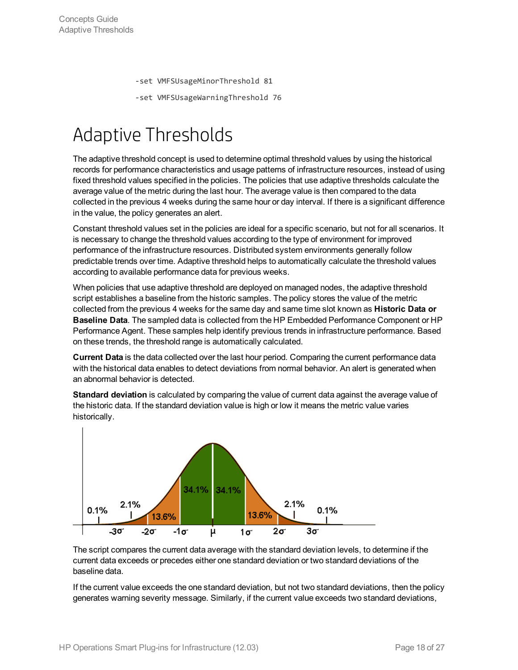-set VMFSUsageMinorThreshold 81

-set VMFSUsageWarningThreshold 76

## <span id="page-17-0"></span>Adaptive Thresholds

The adaptive threshold concept is used to determine optimal threshold values by using the historical records for performance characteristics and usage patterns of infrastructure resources, instead of using fixed threshold values specified in the policies. The policies that use adaptive thresholds calculate the average value of the metric during the last hour. The average value is then compared to the data collected in the previous 4 weeks during the same hour or day interval. If there is a significant difference in the value, the policy generates an alert.

Constant threshold values set in the policies are ideal for a specific scenario, but not for all scenarios. It is necessary to change the threshold values according to the type of environment for improved performance of the infrastructure resources. Distributed system environments generally follow predictable trends over time. Adaptive threshold helps to automatically calculate the threshold values according to available performance data for previous weeks.

When policies that use adaptive threshold are deployed on managed nodes, the adaptive threshold script establishes a baseline from the historic samples. The policy stores the value of the metric collected from the previous 4 weeks for the same day and same time slot known as **Historic Data or Baseline Data**. The sampled data is collected from the HP Embedded Performance Component or HP Performance Agent. These samples help identify previous trends in infrastructure performance. Based on these trends, the threshold range is automatically calculated.

**Current Data** is the data collected over the last hour period. Comparing the current performance data with the historical data enables to detect deviations from normal behavior. An alert is generated when an abnormal behavior is detected.

**Standard deviation** is calculated by comparing the value of current data against the average value of the historic data. If the standard deviation value is high or low it means the metric value varies historically.



The script compares the current data average with the standard deviation levels, to determine if the current data exceeds or precedes either one standard deviation or two standard deviations of the baseline data.

If the current value exceeds the one standard deviation, but not two standard deviations, then the policy generates warning severity message. Similarly, if the current value exceeds two standard deviations,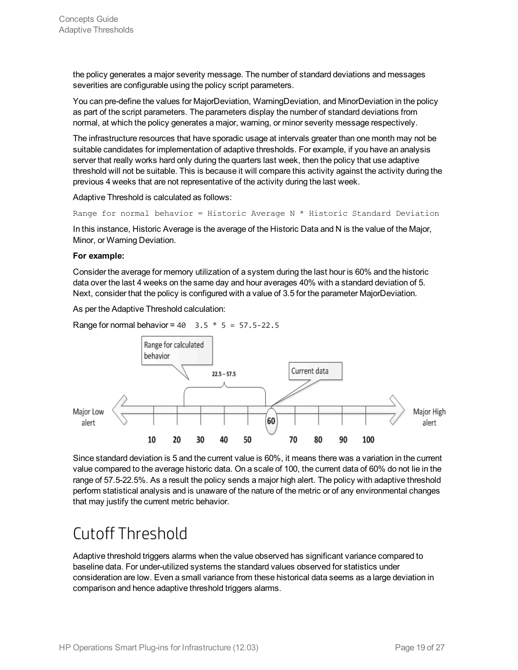the policy generates a major severity message. The number of standard deviations and messages severities are configurable using the policy script parameters.

You can pre-define the values for MajorDeviation, WarningDeviation, and MinorDeviation in the policy as part of the script parameters. The parameters display the number of standard deviations from normal, at which the policy generates a major, warning, or minor severity message respectively.

The infrastructure resources that have sporadic usage at intervals greater than one month may not be suitable candidates for implementation of adaptive thresholds. For example, if you have an analysis server that really works hard only during the quarters last week, then the policy that use adaptive threshold will not be suitable. This is because it will compare this activity against the activity during the previous 4 weeks that are not representative of the activity during the last week.

Adaptive Threshold is calculated as follows:

Range for normal behavior = Historic Average N  $*$  Historic Standard Deviation

In this instance, Historic Average is the average of the Historic Data and N is the value of the Major, Minor, or Warning Deviation.

#### **For example:**

Consider the average for memory utilization of a system during the last hour is 60% and the historic data over the last 4 weeks on the same day and hour averages 40% with a standard deviation of 5. Next, consider that the policy is configured with a value of 3.5 for the parameter MajorDeviation.

As per the Adaptive Threshold calculation:

Range for normal behavior =  $40$  3.5  $*$  5 =  $57.5 - 22.5$ 



Since standard deviation is 5 and the current value is 60%, it means there was a variation in the current value compared to the average historic data. On a scale of 100, the current data of 60% do not lie in the range of 57.5-22.5%. As a result the policy sends a major high alert. The policy with adaptive threshold perform statistical analysis and is unaware of the nature of the metric or of any environmental changes that may justify the current metric behavior.

### <span id="page-18-0"></span>Cutoff Threshold

Adaptive threshold triggers alarms when the value observed has significant variance compared to baseline data. For under-utilized systems the standard values observed for statistics under consideration are low. Even a small variance from these historical data seems as a large deviation in comparison and hence adaptive threshold triggers alarms.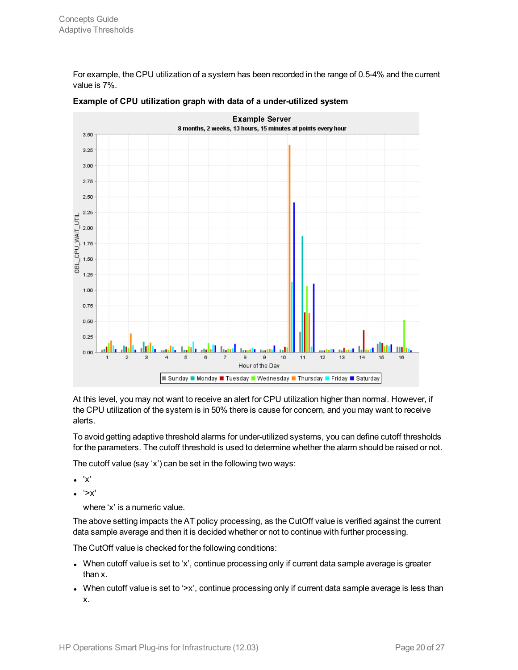For example, the CPU utilization of a system has been recorded in the range of 0.5-4% and the current value is 7%.



#### **Example of CPU utilization graph with data of a under-utilized system**

At this level, you may not want to receive an alert for CPU utilization higher than normal. However, if the CPU utilization of the system is in 50% there is cause for concern, and you may want to receive alerts.

To avoid getting adaptive threshold alarms for under-utilized systems, you can define cutoff thresholds for the parameters. The cutoff threshold is used to determine whether the alarm should be raised or not.

The cutoff value (say 'x') can be set in the following two ways:

- $\bullet$  'x'
- $\bullet$  '>x'

where 'x' is a numeric value.

The above setting impacts the AT policy processing, as the CutOff value is verified against the current data sample average and then it is decided whether or not to continue with further processing.

The CutOff value is checked for the following conditions:

- When cutoff value is set to 'x', continue processing only if current data sample average is greater than x.
- When cutoff value is set to '>x', continue processing only if current data sample average is less than x.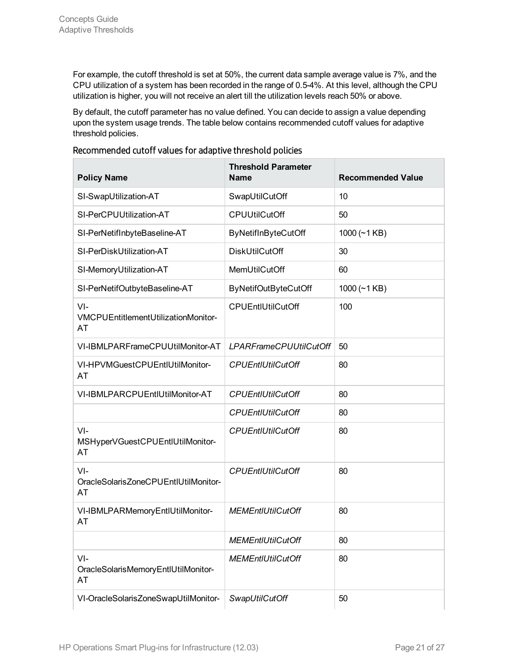For example, the cutoff threshold is set at 50%, the current data sample average value is 7%, and the CPU utilization of a system has been recorded in the range of 0.5-4%. At this level, although the CPU utilization is higher, you will not receive an alert till the utilization levels reach 50% or above.

By default, the cutoff parameter has no value defined. You can decide to assign a value depending upon the system usage trends. The table below contains recommended cutoff values for adaptive threshold policies.

| <b>Policy Name</b>                                   | <b>Threshold Parameter</b><br><b>Name</b> | <b>Recommended Value</b> |
|------------------------------------------------------|-------------------------------------------|--------------------------|
| SI-SwapUtilization-AT                                | SwapUtilCutOff                            | 10                       |
| SI-PerCPUUtilization-AT                              | <b>CPUUtilCutOff</b>                      | 50                       |
| SI-PerNetifInbyteBaseline-AT                         | ByNetifInByteCutOff                       | 1000 $(-1$ KB)           |
| SI-PerDiskUtilization-AT                             | <b>DiskUtilCutOff</b>                     | 30                       |
| SI-MemoryUtilization-AT                              | MemUtilCutOff                             | 60                       |
| SI-PerNetifOutbyteBaseline-AT                        | <b>ByNetifOutByteCutOff</b>               | 1000 $(-1$ KB)           |
| $VI -$<br>VMCPUEntitlementUtilizationMonitor-<br>AT  | CPUEntIUtilCutOff                         | 100                      |
| VI-IBMLPARFrameCPUUtilMonitor-AT                     | <b>LPARFrameCPUUtilCutOff</b>             | 50                       |
| VI-HPVMGuestCPUEntIUtilMonitor-<br>AT                | <b>CPUEntIUtilCutOff</b>                  | 80                       |
| VI-IBMLPARCPUEntIUtilMonitor-AT                      | <b>CPUEntIUtilCutOff</b>                  | 80                       |
|                                                      | <b>CPUEntIUtilCutOff</b>                  | 80                       |
| $VI -$<br>MSHyperVGuestCPUEntIUtilMonitor-<br>AT     | <b>CPUEntIUtilCutOff</b>                  | 80                       |
| $VI -$<br>OracleSolarisZoneCPUEntlUtilMonitor-<br>AT | <b>CPUEntIUtilCutOff</b>                  | 80                       |
| VI-IBMLPARMemoryEntIUtilMonitor-<br>AT               | <b>MEMEntIUtilCutOff</b>                  | 80                       |
|                                                      | <b>MEMEntIUtilCutOff</b>                  | 80                       |
| $VI -$<br>OracleSolarisMemoryEntIUtilMonitor-<br>AT  | <b>MEMEntIUtilCutOff</b>                  | 80                       |
| VI-OracleSolarisZoneSwapUtilMonitor-                 | SwapUtilCutOff                            | 50                       |

### Recommended cutoff values for adaptive threshold policies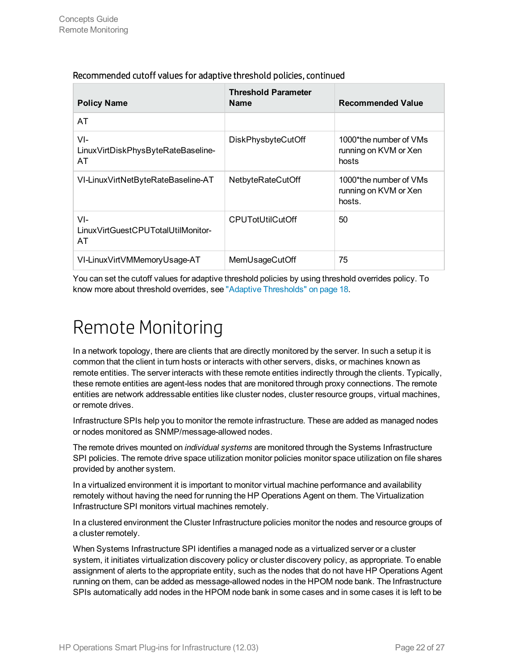| <b>Policy Name</b>                                 | <b>Threshold Parameter</b><br><b>Name</b> | <b>Recommended Value</b>                                  |
|----------------------------------------------------|-------------------------------------------|-----------------------------------------------------------|
| AT                                                 |                                           |                                                           |
| VI-<br>LinuxVirtDiskPhysByteRateBaseline-<br>AT    | DiskPhysbyteCutOff                        | 1000*the number of VMs<br>running on KVM or Xen<br>hosts  |
| VI-LinuxVirtNetByteRateBaseline-AT                 | NetbyteRateCutOff                         | 1000*the number of VMs<br>running on KVM or Xen<br>hosts. |
| $VI -$<br>LinuxVirtGuestCPUTotalUtilMonitor-<br>AT | <b>CPUTotUtilCutOff</b>                   | 50                                                        |
| VI-LinuxVirtVMMemoryUsage-AT                       | MemUsageCutOff                            | 75                                                        |

### Recommended cutoff values for adaptive threshold policies, continued

<span id="page-21-0"></span>You can set the cutoff values for adaptive threshold policies by using threshold overrides policy. To know more about threshold overrides, see "Adaptive [Thresholds"](#page-17-0) on page 18.

## Remote Monitoring

In a network topology, there are clients that are directly monitored by the server. In such a setup it is common that the client in turn hosts or interacts with other servers, disks, or machines known as remote entities. The server interacts with these remote entities indirectly through the clients. Typically, these remote entities are agent-less nodes that are monitored through proxy connections. The remote entities are network addressable entities like cluster nodes, cluster resource groups, virtual machines, or remote drives.

Infrastructure SPIs help you to monitor the remote infrastructure. These are added as managed nodes or nodes monitored as SNMP/message-allowed nodes.

The remote drives mounted on *individual systems* are monitored through the Systems Infrastructure SPI policies. The remote drive space utilization monitor policies monitor space utilization on file shares provided by another system.

In a virtualized environment it is important to monitor virtual machine performance and availability remotely without having the need for running the HP Operations Agent on them. The Virtualization Infrastructure SPI monitors virtual machines remotely.

In a clustered environment the Cluster Infrastructure policies monitor the nodes and resource groups of a cluster remotely.

When Systems Infrastructure SPI identifies a managed node as a virtualized server or a cluster system, it initiates virtualization discovery policy or cluster discovery policy, as appropriate. To enable assignment of alerts to the appropriate entity, such as the nodes that do not have HP Operations Agent running on them, can be added as message-allowed nodes in the HPOM node bank. The Infrastructure SPIs automatically add nodes in the HPOM node bank in some cases and in some cases it is left to be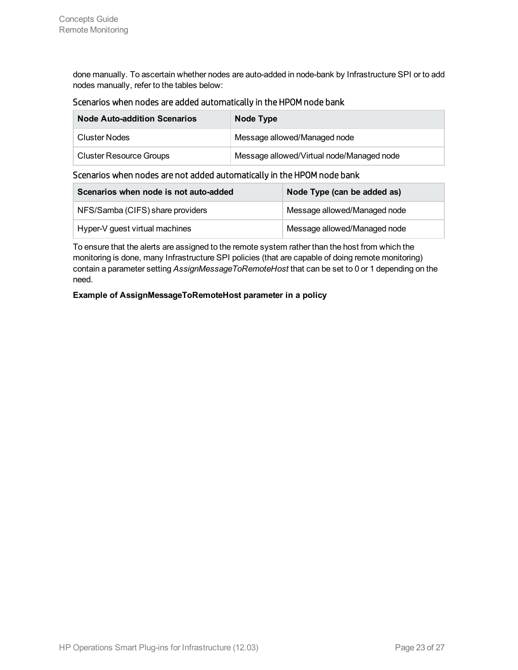done manually. To ascertain whether nodes are auto-added in node-bank by Infrastructure SPI or to add nodes manually, refer to the tables below:

### Scenarios when nodes are added automatically in the HPOM node bank

| <b>Node Auto-addition Scenarios</b> | Node Type                                 |
|-------------------------------------|-------------------------------------------|
| Cluster Nodes                       | Message allowed/Managed node              |
| <b>Cluster Resource Groups</b>      | Message allowed/Virtual node/Managed node |

### Scenarios when nodes are not added automatically in the HPOM node bank

| Scenarios when node is not auto-added | Node Type (can be added as)  |
|---------------------------------------|------------------------------|
| NFS/Samba (CIFS) share providers      | Message allowed/Managed node |
| Hyper-V guest virtual machines        | Message allowed/Managed node |

To ensure that the alerts are assigned to the remote system rather than the host from which the monitoring is done, many Infrastructure SPI policies (that are capable of doing remote monitoring) contain a parameter setting *AssignMessageToRemoteHost* that can be set to 0 or 1 depending on the need.

#### **Example of AssignMessageToRemoteHost parameter in a policy**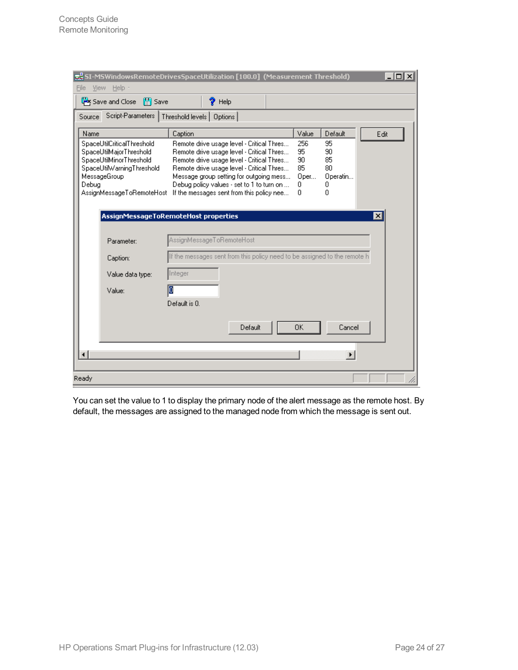| Save and Close<br>$\mathbb{H}$ Save<br>Script-Parameters  <br>Source<br>Name<br>SpaceUtilCriticalThreshold<br>SpaceUtilMajorThreshold<br>SpaceUtilMinorThreshold<br>SpaceUtilWarningThreshold | Caption       | ?<br>Help<br>Threshold levels   Options                                                |                                           |          |          |                 |
|-----------------------------------------------------------------------------------------------------------------------------------------------------------------------------------------------|---------------|----------------------------------------------------------------------------------------|-------------------------------------------|----------|----------|-----------------|
|                                                                                                                                                                                               |               |                                                                                        |                                           |          |          |                 |
|                                                                                                                                                                                               |               |                                                                                        |                                           |          |          |                 |
|                                                                                                                                                                                               |               |                                                                                        |                                           | Value    | Default  | Edit            |
|                                                                                                                                                                                               |               |                                                                                        | Remote drive usage level - Critical Thres | 256      | 95       |                 |
|                                                                                                                                                                                               |               | Remote drive usage level - Critical Thres                                              |                                           | 95       | 90       |                 |
|                                                                                                                                                                                               |               | Remote drive usage level - Critical Thres<br>Remote drive usage level - Critical Thres |                                           | 90<br>85 | 85<br>80 |                 |
| MessageGroup                                                                                                                                                                                  |               | Message group setting for outgoing mess                                                |                                           | Oper     | Operatin |                 |
| Debug                                                                                                                                                                                         |               | Debug policy values - set to 1 to turn on                                              |                                           | 0        | 0        |                 |
| AssignMessageToRemoteHost                                                                                                                                                                     |               | If the messages sent from this policy nee                                              |                                           | 0        | n        |                 |
|                                                                                                                                                                                               |               |                                                                                        |                                           |          |          |                 |
| AssignMessageToRemoteHost properties                                                                                                                                                          |               |                                                                                        |                                           |          |          | $\vert x \vert$ |
|                                                                                                                                                                                               |               |                                                                                        |                                           |          |          |                 |
| Parameter:                                                                                                                                                                                    |               | AssignMessageToRemoteHost                                                              |                                           |          |          |                 |
| Caption:                                                                                                                                                                                      |               | If the messages sent from this policy need to be assigned to the remote h              |                                           |          |          |                 |
| Value data type:                                                                                                                                                                              | Integer       |                                                                                        |                                           |          |          |                 |
| Value:                                                                                                                                                                                        | О             |                                                                                        |                                           |          |          |                 |
|                                                                                                                                                                                               | Default is 0. |                                                                                        |                                           |          |          |                 |
|                                                                                                                                                                                               |               |                                                                                        |                                           |          |          |                 |
|                                                                                                                                                                                               |               |                                                                                        | Default                                   | 0K       | Cancel   |                 |
| $\blacktriangleleft$                                                                                                                                                                          |               |                                                                                        |                                           |          |          |                 |
|                                                                                                                                                                                               |               |                                                                                        |                                           |          |          |                 |

You can set the value to 1 to display the primary node of the alert message as the remote host. By default, the messages are assigned to the managed node from which the message is sent out.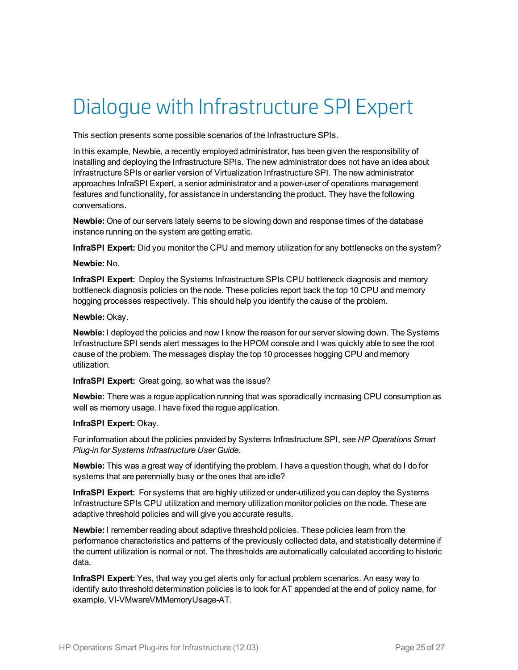## <span id="page-24-0"></span>Dialogue with Infrastructure SPI Expert

This section presents some possible scenarios of the Infrastructure SPIs.

In this example, Newbie, a recently employed administrator, has been given the responsibility of installing and deploying the Infrastructure SPIs. The new administrator does not have an idea about Infrastructure SPIs or earlier version of Virtualization Infrastructure SPI. The new administrator approaches InfraSPI Expert, a senior administrator and a power-user of operations management features and functionality, for assistance in understanding the product. They have the following conversations.

**Newbie:** One of our servers lately seems to be slowing down and response times of the database instance running on the system are getting erratic.

**InfraSPI Expert:** Did you monitor the CPU and memory utilization for any bottlenecks on the system?

#### **Newbie:** No.

**InfraSPI Expert:** Deploy the Systems Infrastructure SPIs CPU bottleneck diagnosis and memory bottleneck diagnosis policies on the node. These policies report back the top 10 CPU and memory hogging processes respectively. This should help you identify the cause of the problem.

#### **Newbie:** Okay.

**Newbie:** I deployed the policies and now I know the reason for our server slowing down. The Systems Infrastructure SPI sends alert messages to the HPOM console and I was quickly able to see the root cause of the problem. The messages display the top 10 processes hogging CPU and memory utilization.

**InfraSPI Expert:** Great going, so what was the issue?

**Newbie:** There was a rogue application running that was sporadically increasing CPU consumption as well as memory usage. I have fixed the rogue application.

### **InfraSPI Expert:** Okay.

For information about the policies provided by Systems Infrastructure SPI, see *HP Operations Smart Plug-in for Systems Infrastructure User Guide*.

**Newbie:** This was a great way of identifying the problem. I have a question though, what do I do for systems that are perennially busy or the ones that are idle?

**InfraSPI Expert:** For systems that are highly utilized or under-utilized you can deploy the Systems Infrastructure SPIs CPU utilization and memory utilization monitor policies on the node. These are adaptive threshold policies and will give you accurate results.

**Newbie:** I remember reading about adaptive threshold policies. These policies learn from the performance characteristics and patterns of the previously collected data, and statistically determine if the current utilization is normal or not. The thresholds are automatically calculated according to historic data.

**InfraSPI Expert:** Yes, that way you get alerts only for actual problem scenarios. An easy way to identify auto threshold determination policies is to look for AT appended at the end of policy name, for example, VI-VMwareVMMemoryUsage-AT.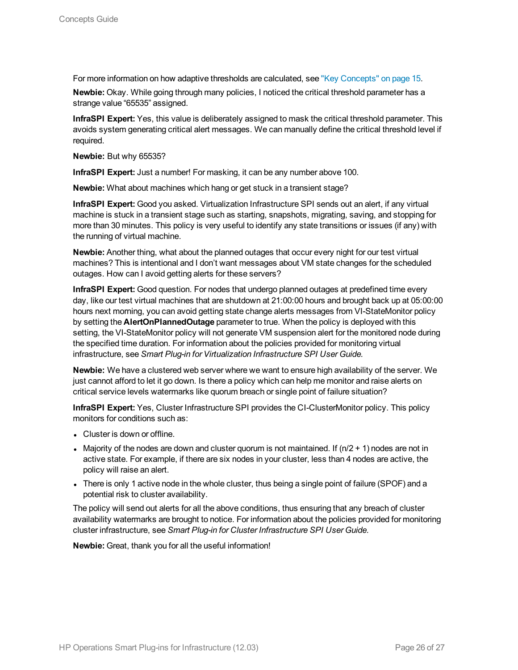For more information on how adaptive thresholds are calculated, see "Key [Concepts"](#page-14-0) on page 15.

**Newbie:** Okay. While going through many policies, I noticed the critical threshold parameter has a strange value "65535" assigned.

**InfraSPI Expert:** Yes, this value is deliberately assigned to mask the critical threshold parameter. This avoids system generating critical alert messages. We can manually define the critical threshold level if required.

**Newbie:** But why 65535?

**InfraSPI Expert:** Just a number! For masking, it can be any number above 100.

**Newbie:** What about machines which hang or get stuck in a transient stage?

**InfraSPI Expert:** Good you asked. Virtualization Infrastructure SPI sends out an alert, if any virtual machine is stuck in a transient stage such as starting, snapshots, migrating, saving, and stopping for more than 30 minutes. This policy is very useful to identify any state transitions or issues (if any) with the running of virtual machine.

**Newbie:** Another thing, what about the planned outages that occur every night for our test virtual machines? This is intentional and I don't want messages about VM state changes for the scheduled outages. How can I avoid getting alerts for these servers?

**InfraSPI Expert:** Good question. For nodes that undergo planned outages at predefined time every day, like our test virtual machines that are shutdown at 21:00:00 hours and brought back up at 05:00:00 hours next morning, you can avoid getting state change alerts messages from VI-StateMonitor policy by setting the **AlertOnPlannedOutage** parameter to true. When the policy is deployed with this setting, the VI-StateMonitor policy will not generate VM suspension alert for the monitored node during the specified time duration. For information about the policies provided for monitoring virtual infrastructure, see *Smart Plug-in for Virtualization Infrastructure SPI User Guide.*

**Newbie:** We have a clustered web server where we want to ensure high availability of the server. We just cannot afford to let it go down. Is there a policy which can help me monitor and raise alerts on critical service levels watermarks like quorum breach or single point of failure situation?

**InfraSPI Expert:** Yes, Cluster Infrastructure SPI provides the CI-ClusterMonitor policy. This policy monitors for conditions such as:

- Cluster is down or offline.
- Majority of the nodes are down and cluster quorum is not maintained. If  $(n/2 + 1)$  nodes are not in active state. For example, if there are six nodes in your cluster, less than 4 nodes are active, the policy will raise an alert.
- There is only 1 active node in the whole cluster, thus being a single point of failure (SPOF) and a potential risk to cluster availability.

The policy will send out alerts for all the above conditions, thus ensuring that any breach of cluster availability watermarks are brought to notice. For information about the policies provided for monitoring cluster infrastructure, see *Smart Plug-in for Cluster Infrastructure SPI User Guide.*

**Newbie:** Great, thank you for all the useful information!